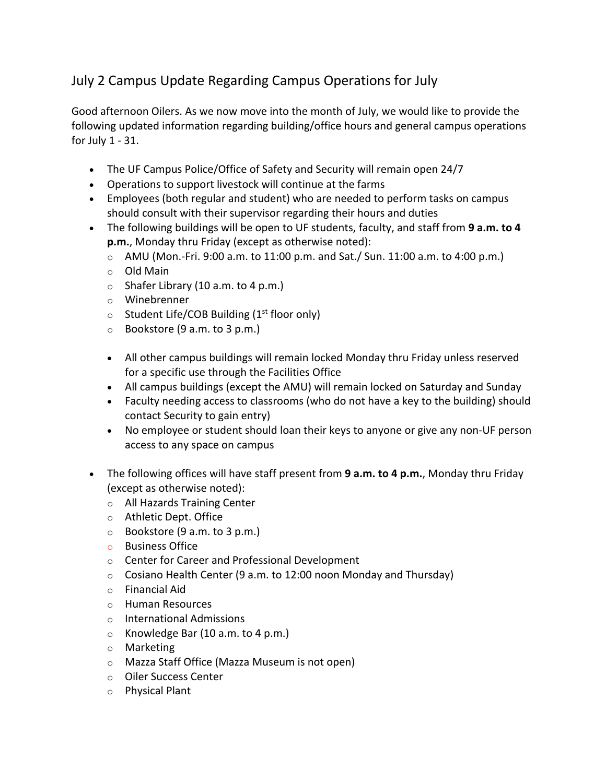## July 2 Campus Update Regarding Campus Operations for July

Good afternoon Oilers. As we now move into the month of July, we would like to provide the following updated information regarding building/office hours and general campus operations for July 1 - 31.

- The UF Campus Police/Office of Safety and Security will remain open 24/7
- Operations to support livestock will continue at the farms
- Employees (both regular and student) who are needed to perform tasks on campus should consult with their supervisor regarding their hours and duties
- The following buildings will be open to UF students, faculty, and staff from **9 a.m. to 4 p.m.**, Monday thru Friday (except as otherwise noted):
	- $\circ$  AMU (Mon.-Fri. 9:00 a.m. to 11:00 p.m. and Sat./ Sun. 11:00 a.m. to 4:00 p.m.)
	- o Old Main
	- $\circ$  Shafer Library (10 a.m. to 4 p.m.)
	- o Winebrenner
	- $\circ$  Student Life/COB Building (1<sup>st</sup> floor only)
	- o Bookstore (9 a.m. to 3 p.m.)
	- All other campus buildings will remain locked Monday thru Friday unless reserved for a specific use through the Facilities Office
	- All campus buildings (except the AMU) will remain locked on Saturday and Sunday
	- Faculty needing access to classrooms (who do not have a key to the building) should contact Security to gain entry)
	- No employee or student should loan their keys to anyone or give any non-UF person access to any space on campus
- The following offices will have staff present from **9 a.m. to 4 p.m.**, Monday thru Friday (except as otherwise noted):
	- o All Hazards Training Center
	- o Athletic Dept. Office
	- $\circ$  Bookstore (9 a.m. to 3 p.m.)
	- o Business Office
	- o Center for Career and Professional Development
	- $\circ$  Cosiano Health Center (9 a.m. to 12:00 noon Monday and Thursday)
	- o Financial Aid
	- o Human Resources
	- o International Admissions
	- o Knowledge Bar (10 a.m. to 4 p.m.)
	- o Marketing
	- o Mazza Staff Office (Mazza Museum is not open)
	- o Oiler Success Center
	- o Physical Plant